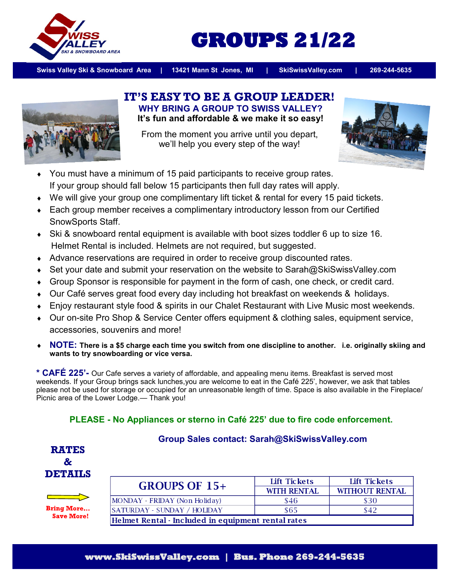

# **GROUPS 21/22**

**Swiss Valley Ski & Snowboard Area | 13421 Mann St Jones, MI | SkiSwissValley.com | 269-244-5635**



#### **IT'S EASY TO BE A GROUP LEADER! WHY BRING A GROUP TO SWISS VALLEY? It's fun and affordable & we make it so easy!**

From the moment you arrive until you depart, we'll help you every step of the way!



- You must have a minimum of 15 paid participants to receive group rates. If your group should fall below 15 participants then full day rates will apply.
- We will give your group one complimentary lift ticket & rental for every 15 paid tickets.
- Each group member receives a complimentary introductory lesson from our Certified SnowSports Staff.
- Ski & snowboard rental equipment is available with boot sizes toddler 6 up to size 16. Helmet Rental is included. Helmets are not required, but suggested.
- Advance reservations are required in order to receive group discounted rates.
- ◆ Set your date and submit your reservation on the website to Sarah@SkiSwissValley.com
- Group Sponsor is responsible for payment in the form of cash, one check, or credit card.
- Our Café serves great food every day including hot breakfast on weekends & holidays.
- Enjoy restaurant style food & spirits in our Chalet Restaurant with Live Music most weekends.
- Our on-site Pro Shop & Service Center offers equipment & clothing sales, equipment service, accessories, souvenirs and more!
- **NOTE: There is a \$5 charge each time you switch from one discipline to another. i.e. originally skiing and wants to try snowboarding or vice versa.**

**\* CAFÉ 225'-** Our Cafe serves a variety of affordable, and appealing menu items. Breakfast is served most weekends. If your Group brings sack lunches,you are welcome to eat in the Café 225', however, we ask that tables please not be used for storage or occupied for an unreasonable length of time. Space is also available in the Fireplace/ Picnic area of the Lower Lodge.— Thank you!

## **PLEASE - No Appliances or sterno in Café 225' due to fire code enforcement.**



### **Group Sales contact: Sarah@SkiSwissValley.com**